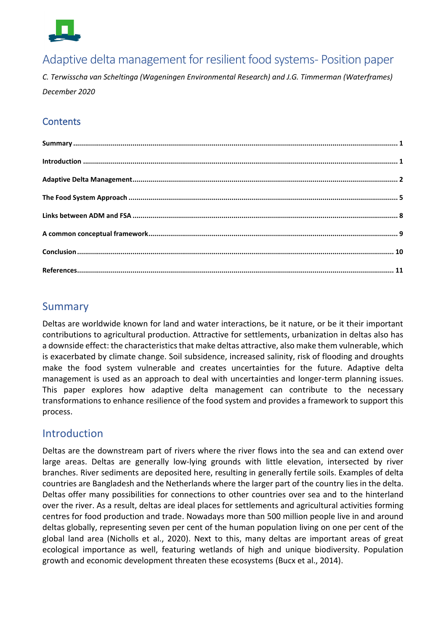

# Adaptive delta management for resilient food systems- Position paper

*C. Terwisscha van Scheltinga (Wageningen Environmental Research) and J.G. Timmerman (Waterframes) December 2020*

### **Contents**

## <span id="page-0-0"></span>Summary

Deltas are worldwide known for land and water interactions, be it nature, or be it their important contributions to agricultural production. Attractive for settlements, urbanization in deltas also has a downside effect: the characteristics that make deltas attractive, also make them vulnerable, which is exacerbated by climate change. Soil subsidence, increased salinity, risk of flooding and droughts make the food system vulnerable and creates uncertainties for the future. Adaptive delta management is used as an approach to deal with uncertainties and longer-term planning issues. This paper explores how adaptive delta management can contribute to the necessary transformations to enhance resilience of the food system and provides a framework to support this process.

## <span id="page-0-1"></span>Introduction

Deltas are the downstream part of rivers where the river flows into the sea and can extend over large areas. Deltas are generally low-lying grounds with little elevation, intersected by river branches. River sediments are deposited here, resulting in generally fertile soils. Examples of delta countries are Bangladesh and the Netherlands where the larger part of the country lies in the delta. Deltas offer many possibilities for connections to other countries over sea and to the hinterland over the river. As a result, deltas are ideal places for settlements and agricultural activities forming centres for food production and trade. Nowadays more than 500 million people live in and around deltas globally, representing seven per cent of the human population living on one per cent of the global land area (Nicholls et al., 2020). Next to this, many deltas are important areas of great ecological importance as well, featuring wetlands of high and unique biodiversity. Population growth and economic development threaten these ecosystems (Bucx et al., 2014).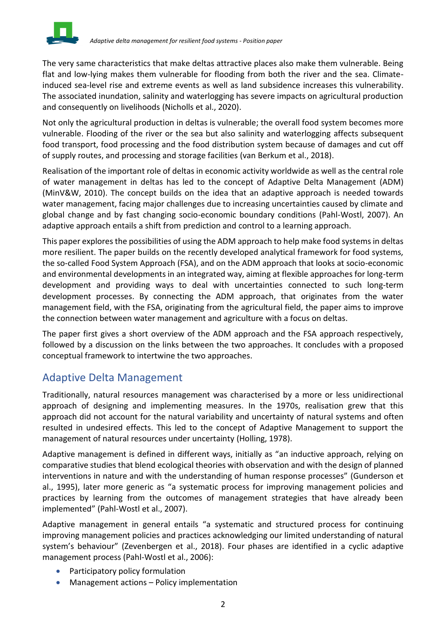

The very same characteristics that make deltas attractive places also make them vulnerable. Being flat and low-lying makes them vulnerable for flooding from both the river and the sea. Climateinduced sea-level rise and extreme events as well as land subsidence increases this vulnerability. The associated inundation, salinity and waterlogging has severe impacts on agricultural production and consequently on livelihoods (Nicholls et al., 2020).

Not only the agricultural production in deltas is vulnerable; the overall food system becomes more vulnerable. Flooding of the river or the sea but also salinity and waterlogging affects subsequent food transport, food processing and the food distribution system because of damages and cut off of supply routes, and processing and storage facilities (van Berkum et al., 2018).

Realisation of the important role of deltas in economic activity worldwide as well as the central role of water management in deltas has led to the concept of Adaptive Delta Management (ADM) (MinV&W, 2010). The concept builds on the idea that an adaptive approach is needed towards water management, facing major challenges due to increasing uncertainties caused by climate and global change and by fast changing socio-economic boundary conditions (Pahl-Wostl, 2007). An adaptive approach entails a shift from prediction and control to a learning approach.

This paper exploresthe possibilities of using the ADM approach to help make food systems in deltas more resilient. The paper builds on the recently developed analytical framework for food systems, the so-called Food System Approach (FSA), and on the ADM approach that looks at socio-economic and environmental developments in an integrated way, aiming at flexible approaches for long-term development and providing ways to deal with uncertainties connected to such long-term development processes. By connecting the ADM approach, that originates from the water management field, with the FSA, originating from the agricultural field, the paper aims to improve the connection between water management and agriculture with a focus on deltas.

The paper first gives a short overview of the ADM approach and the FSA approach respectively, followed by a discussion on the links between the two approaches. It concludes with a proposed conceptual framework to intertwine the two approaches.

# <span id="page-1-0"></span>Adaptive Delta Management

Traditionally, natural resources management was characterised by a more or less unidirectional approach of designing and implementing measures. In the 1970s, realisation grew that this approach did not account for the natural variability and uncertainty of natural systems and often resulted in undesired effects. This led to the concept of Adaptive Management to support the management of natural resources under uncertainty (Holling, 1978).

Adaptive management is defined in different ways, initially as "an inductive approach, relying on comparative studies that blend ecological theories with observation and with the design of planned interventions in nature and with the understanding of human response processes" (Gunderson et al., 1995), later more generic as "a systematic process for improving management policies and practices by learning from the outcomes of management strategies that have already been implemented" (Pahl-Wostl et al., 2007).

Adaptive management in general entails "a systematic and structured process for continuing improving management policies and practices acknowledging our limited understanding of natural system's behaviour" (Zevenbergen et al., 2018). Four phases are identified in a cyclic adaptive management process (Pahl-Wostl et al., 2006):

- Participatory policy formulation
- Management actions Policy implementation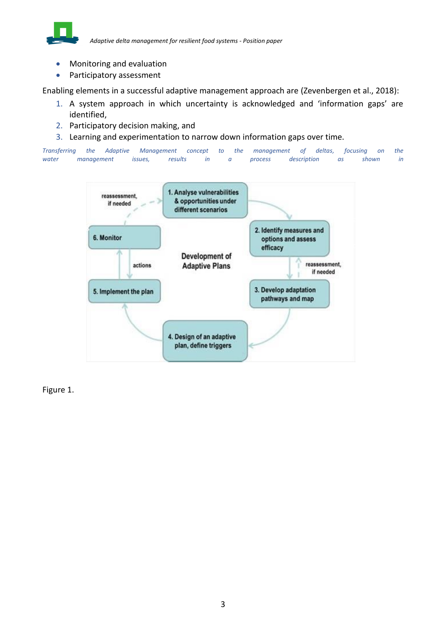

*Adaptive delta management for resilient food systems - Position paper*

- Monitoring and evaluation
- Participatory assessment

Enabling elements in a successful adaptive management approach are (Zevenbergen et al., 2018):

- 1. A system approach in which uncertainty is acknowledged and 'information gaps' are identified,
- 2. Participatory decision making, and
- 3. Learning and experimentation to narrow down information gaps over time.

*Transferring the Adaptive Management concept to the management of deltas, focusing on the water management issues, results in a process description as shown in* 



[Figure 1.](#page-3-0)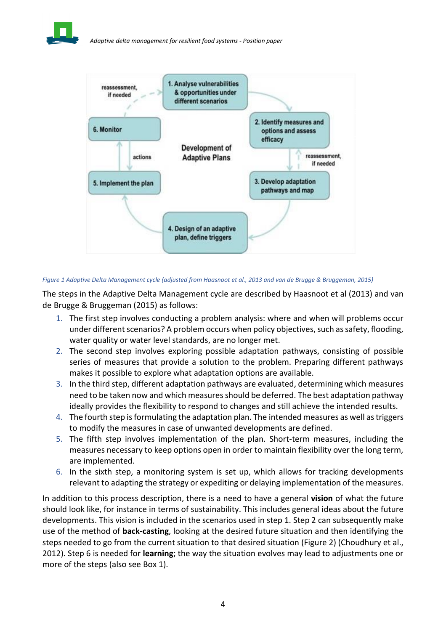

<span id="page-3-0"></span>

### *Figure 1 Adaptive Delta Management cycle (adjusted from Haasnoot et al., 2013 and van de Brugge & Bruggeman, 2015)*

The steps in the Adaptive Delta Management cycle are described by Haasnoot et al (2013) and van de Brugge & Bruggeman (2015) as follows:

- 1. The first step involves conducting a problem analysis: where and when will problems occur under different scenarios? A problem occurs when policy objectives, such as safety, flooding, water quality or water level standards, are no longer met.
- 2. The second step involves exploring possible adaptation pathways, consisting of possible series of measures that provide a solution to the problem. Preparing different pathways makes it possible to explore what adaptation options are available.
- 3. In the third step, different adaptation pathways are evaluated, determining which measures need to be taken now and which measures should be deferred. The best adaptation pathway ideally provides the flexibility to respond to changes and still achieve the intended results.
- 4. The fourth step is formulating the adaptation plan. The intended measures as well as triggers to modify the measures in case of unwanted developments are defined.
- 5. The fifth step involves implementation of the plan. Short-term measures, including the measures necessary to keep options open in order to maintain flexibility over the long term, are implemented.
- 6. In the sixth step, a monitoring system is set up, which allows for tracking developments relevant to adapting the strategy or expediting or delaying implementation of the measures.

In addition to this process description, there is a need to have a general **vision** of what the future should look like, for instance in terms of sustainability. This includes general ideas about the future developments. This vision is included in the scenarios used in step 1. Step 2 can subsequently make use of the method of **back-casting**, looking at the desired future situation and then identifying the steps needed to go from the current situation to that desired situation [\(Figure 2\)](#page-4-0) (Choudhury et al., 2012). Step 6 is needed for **learning**; the way the situation evolves may lead to adjustments one or more of the steps (also see [Box 1\)](#page-4-1).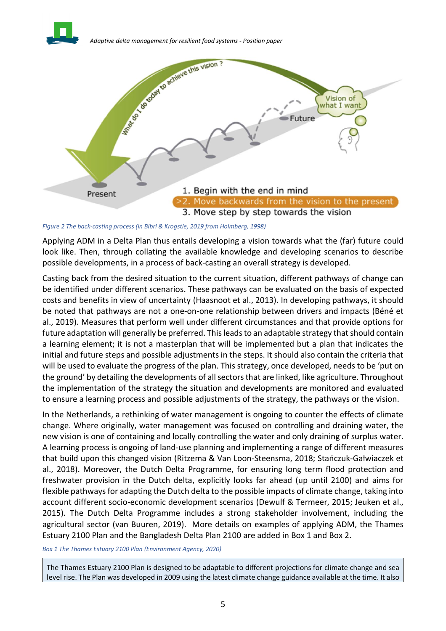



<span id="page-4-0"></span>*Figure 2 The back-casting process (in Bibri & Krogstie, 2019 from Holmberg, 1998)*

Applying ADM in a Delta Plan thus entails developing a vision towards what the (far) future could look like. Then, through collating the available knowledge and developing scenarios to describe possible developments, in a process of back-casting an overall strategy is developed.

Casting back from the desired situation to the current situation, different pathways of change can be identified under different scenarios. These pathways can be evaluated on the basis of expected costs and benefits in view of uncertainty (Haasnoot et al., 2013). In developing pathways, it should be noted that pathways are not a one-on-one relationship between drivers and impacts (Béné et al., 2019). Measures that perform well under different circumstances and that provide options for future adaptation will generally be preferred. This leads to an adaptable strategy that should contain a learning element; it is not a masterplan that will be implemented but a plan that indicates the initial and future steps and possible adjustments in the steps. It should also contain the criteria that will be used to evaluate the progress of the plan. This strategy, once developed, needs to be 'put on the ground' by detailing the developments of all sectors that are linked, like agriculture. Throughout the implementation of the strategy the situation and developments are monitored and evaluated to ensure a learning process and possible adjustments of the strategy, the pathways or the vision.

In the Netherlands, a rethinking of water management is ongoing to counter the effects of climate change. Where originally, water management was focused on controlling and draining water, the new vision is one of containing and locally controlling the water and only draining of surplus water. A learning process is ongoing of land-use planning and implementing a range of different measures that build upon this changed vision (Ritzema & Van Loon-Steensma, 2018; Stańczuk-Gałwiaczek et al., 2018). Moreover, the Dutch Delta Programme, for ensuring long term flood protection and freshwater provision in the Dutch delta, explicitly looks far ahead (up until 2100) and aims for flexible pathways for adapting the Dutch delta to the possible impacts of climate change, taking into account different socio-economic development scenarios (Dewulf & Termeer, 2015; Jeuken et al., 2015). The Dutch Delta Programme includes a strong stakeholder involvement, including the agricultural sector (van Buuren, 2019). More details on examples of applying ADM, the Thames Estuary 2100 Plan and the Bangladesh Delta Plan 2100 are added in [Box 1](#page-4-1) and [Box 2.](#page-5-1)

<span id="page-4-1"></span>*Box 1 The Thames Estuary 2100 Plan (Environment Agency, 2020)*

The Thames Estuary 2100 Plan is designed to be adaptable to different projections for climate change and sea level rise. The Plan was developed in 2009 using the latest climate change guidance available at the time. It also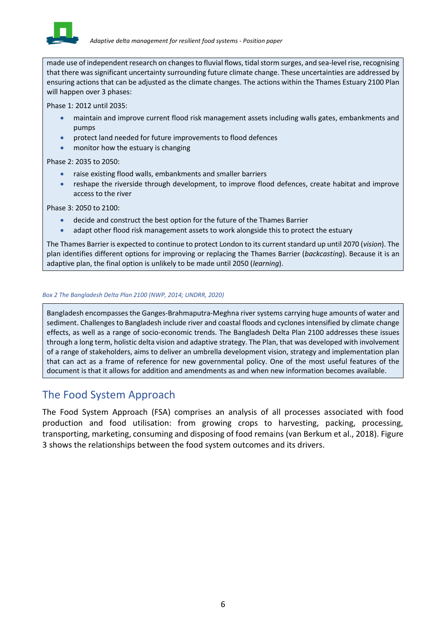

made use of independent research on changes to fluvial flows, tidal storm surges, and sea-level rise, recognising that there was significant uncertainty surrounding future climate change. These uncertainties are addressed by ensuring actions that can be adjusted as the climate changes. The actions within the Thames Estuary 2100 Plan will happen over 3 phases:

Phase 1: 2012 until 2035:

- maintain and improve current flood risk management assets including walls gates, embankments and pumps
- protect land needed for future improvements to flood defences
- monitor how the estuary is changing

Phase 2: 2035 to 2050:

- raise existing flood walls, embankments and smaller barriers
- reshape the riverside through development, to improve flood defences, create habitat and improve access to the river

Phase 3: 2050 to 2100:

- decide and construct the best option for the future of the Thames Barrier
- adapt other flood risk management assets to work alongside this to protect the estuary

The Thames Barrier is expected to continue to protect London to its current standard up until 2070 (*vision*). The plan identifies different options for improving or replacing the Thames Barrier (*backcasting*). Because it is an adaptive plan, the final option is unlikely to be made until 2050 (*learning*).

#### <span id="page-5-1"></span>*Box 2 The Bangladesh Delta Plan 2100 (NWP, 2014; UNDRR, 2020)*

Bangladesh encompasses the Ganges-Brahmaputra-Meghna river systems carrying huge amounts of water and sediment. Challenges to Bangladesh include river and coastal floods and cyclones intensified by climate change effects, as well as a range of socio-economic trends. The Bangladesh Delta Plan 2100 addresses these issues through a long term, holistic delta vision and adaptive strategy. The Plan, that was developed with involvement of a range of stakeholders, aims to deliver an umbrella development vision, strategy and implementation plan that can act as a frame of reference for new governmental policy. One of the most useful features of the document is that it allows for addition and amendments as and when new information becomes available.

### <span id="page-5-0"></span>The Food System Approach

The Food System Approach (FSA) comprises an analysis of all processes associated with food production and food utilisation: from growing crops to harvesting, packing, processing, transporting, marketing, consuming and disposing of food remains (van Berkum et al., 2018). [Figure](#page-6-0)  [3](#page-6-0) shows the relationships between the food system outcomes and its drivers.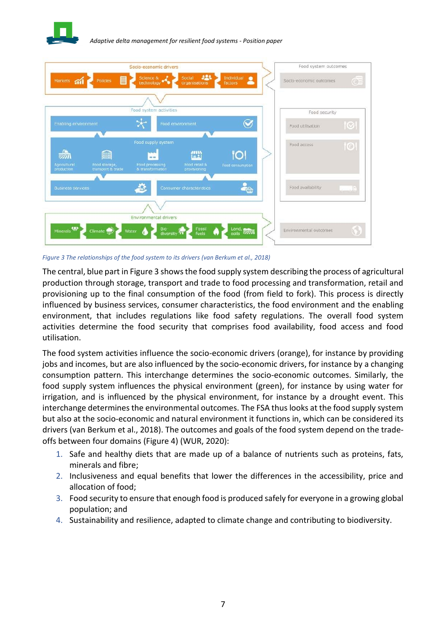



<span id="page-6-0"></span>*Figure 3 The relationships of the food system to its drivers (van Berkum et al., 2018)*

The central, blue part i[n Figure 3](#page-6-0) shows the food supply system describing the process of agricultural production through storage, transport and trade to food processing and transformation, retail and provisioning up to the final consumption of the food (from field to fork). This process is directly influenced by business services, consumer characteristics, the food environment and the enabling environment, that includes regulations like food safety regulations. The overall food system activities determine the food security that comprises food availability, food access and food utilisation.

The food system activities influence the socio-economic drivers (orange), for instance by providing jobs and incomes, but are also influenced by the socio-economic drivers, for instance by a changing consumption pattern. This interchange determines the socio-economic outcomes. Similarly, the food supply system influences the physical environment (green), for instance by using water for irrigation, and is influenced by the physical environment, for instance by a drought event. This interchange determines the environmental outcomes. The FSA thus looks at the food supply system but also at the socio-economic and natural environment it functions in, which can be considered its drivers (van Berkum et al., 2018). The outcomes and goals of the food system depend on the tradeoffs between four domains [\(Figure 4\)](#page-7-0) (WUR, 2020):

- 1. Safe and healthy diets that are made up of a balance of nutrients such as proteins, fats, minerals and fibre;
- 2. Inclusiveness and equal benefits that lower the differences in the accessibility, price and allocation of food;
- 3. Food security to ensure that enough food is produced safely for everyone in a growing global population; and
- 4. Sustainability and resilience, adapted to climate change and contributing to biodiversity.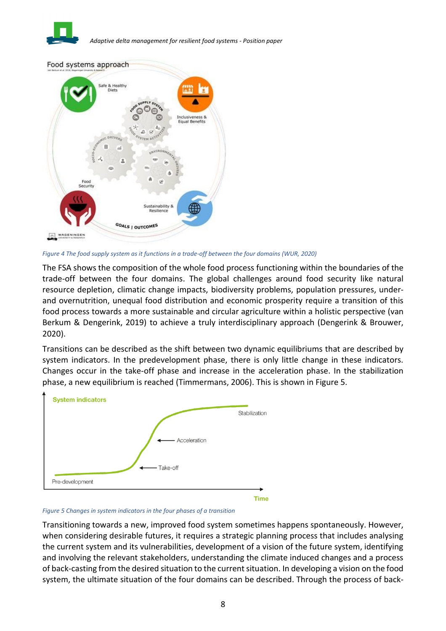



<span id="page-7-0"></span>*Figure 4 The food supply system as it functions in a trade-off between the four domains (WUR, 2020)*

The FSA shows the composition of the whole food process functioning within the boundaries of the trade-off between the four domains. The global challenges around food security like natural resource depletion, climatic change impacts, biodiversity problems, population pressures, underand overnutrition, unequal food distribution and economic prosperity require a transition of this food process towards a more sustainable and circular agriculture within a holistic perspective (van Berkum & Dengerink, 2019) to achieve a truly interdisciplinary approach (Dengerink & Brouwer, 2020).

Transitions can be described as the shift between two dynamic equilibriums that are described by system indicators. In the predevelopment phase, there is only little change in these indicators. Changes occur in the take-off phase and increase in the acceleration phase. In the stabilization phase, a new equilibrium is reached (Timmermans, 2006). This is shown in [Figure 5.](#page-7-1)



<span id="page-7-1"></span>*Figure 5 Changes in system indicators in the four phases of a transition*

Transitioning towards a new, improved food system sometimes happens spontaneously. However, when considering desirable futures, it requires a strategic planning process that includes analysing the current system and its vulnerabilities, development of a vision of the future system, identifying and involving the relevant stakeholders, understanding the climate induced changes and a process of back-casting from the desired situation to the current situation. In developing a vision on the food system, the ultimate situation of the four domains can be described. Through the process of back-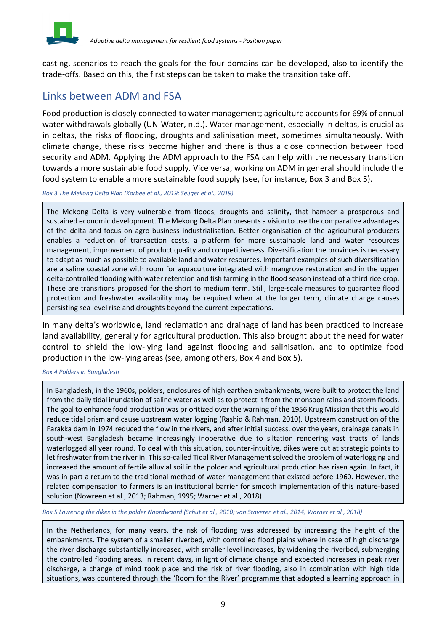

casting, scenarios to reach the goals for the four domains can be developed, also to identify the trade-offs. Based on this, the first steps can be taken to make the transition take off.

## <span id="page-8-0"></span>Links between ADM and FSA

Food production is closely connected to water management; agriculture accounts for 69% of annual water withdrawals globally (UN-Water, n.d.). Water management, especially in deltas, is crucial as in deltas, the risks of flooding, droughts and salinisation meet, sometimes simultaneously. With climate change, these risks become higher and there is thus a close connection between food security and ADM. Applying the ADM approach to the FSA can help with the necessary transition towards a more sustainable food supply. Vice versa, working on ADM in general should include the food system to enable a more sustainable food supply (see, for instance, [Box 3](#page-8-1) and [Box 5\)](#page-8-2).

<span id="page-8-1"></span>*Box 3 The Mekong Delta Plan (Korbee et al., 2019; Seijger et al., 2019)*

The Mekong Delta is very vulnerable from floods, droughts and salinity, that hamper a prosperous and sustained economic development. The Mekong Delta Plan presents a vision to use the comparative advantages of the delta and focus on agro-business industrialisation. Better organisation of the agricultural producers enables a reduction of transaction costs, a platform for more sustainable land and water resources management, improvement of product quality and competitiveness. Diversification the provinces is necessary to adapt as much as possible to available land and water resources. Important examples of such diversification are a saline coastal zone with room for aquaculture integrated with mangrove restoration and in the upper delta-controlled flooding with water retention and fish farming in the flood season instead of a third rice crop. These are transitions proposed for the short to medium term. Still, large-scale measures to guarantee flood protection and freshwater availability may be required when at the longer term, climate change causes persisting sea level rise and droughts beyond the current expectations.

In many delta's worldwide, land reclamation and drainage of land has been practiced to increase land availability, generally for agricultural production. This also brought about the need for water control to shield the low-lying land against flooding and salinisation, and to optimize food production in the low-lying areas (see, among others, [Box 4](#page-8-3) and [Box 5\)](#page-8-2).

#### <span id="page-8-3"></span>*Box 4 Polders in Bangladesh*

In Bangladesh, in the 1960s, polders, enclosures of high earthen embankments, were built to protect the land from the daily tidal inundation of saline water as well as to protect it from the monsoon rains and storm floods. The goal to enhance food production was prioritized over the warning of the 1956 Krug Mission that this would reduce tidal prism and cause upstream water logging (Rashid & Rahman, 2010). Upstream construction of the Farakka dam in 1974 reduced the flow in the rivers, and after initial success, over the years, drainage canals in south-west Bangladesh became increasingly inoperative due to siltation rendering vast tracts of lands waterlogged all year round. To deal with this situation, counter-intuitive, dikes were cut at strategic points to let freshwater from the river in. This so-called Tidal River Management solved the problem of waterlogging and increased the amount of fertile alluvial soil in the polder and agricultural production has risen again. In fact, it was in part a return to the traditional method of water management that existed before 1960. However, the related compensation to farmers is an institutional barrier for smooth implementation of this nature-based solution (Nowreen et al., 2013; Rahman, 1995; Warner et al., 2018).

<span id="page-8-2"></span>*Box 5 Lowering the dikes in the polder Noordwaard (Schut et al., 2010; van Staveren et al., 2014; Warner et al., 2018)*

In the Netherlands, for many years, the risk of flooding was addressed by increasing the height of the embankments. The system of a smaller riverbed, with controlled flood plains where in case of high discharge the river discharge substantially increased, with smaller level increases, by widening the riverbed, submerging the controlled flooding areas. In recent days, in light of climate change and expected increases in peak river discharge, a change of mind took place and the risk of river flooding, also in combination with high tide situations, was countered through the 'Room for the River' programme that adopted a learning approach in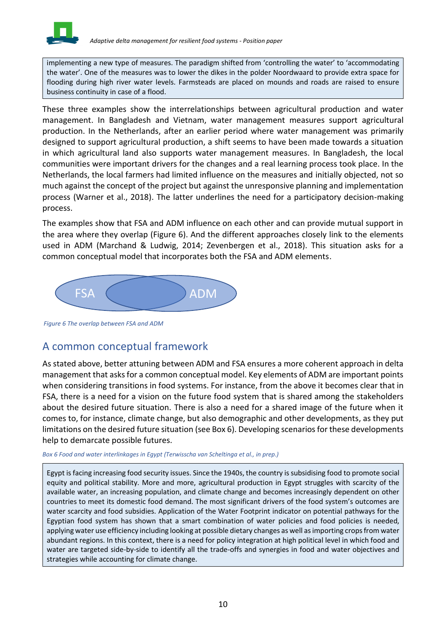

implementing a new type of measures. The paradigm shifted from 'controlling the water' to 'accommodating the water'. One of the measures was to lower the dikes in the polder Noordwaard to provide extra space for flooding during high river water levels. Farmsteads are placed on mounds and roads are raised to ensure business continuity in case of a flood.

These three examples show the interrelationships between agricultural production and water management. In Bangladesh and Vietnam, water management measures support agricultural production. In the Netherlands, after an earlier period where water management was primarily designed to support agricultural production, a shift seems to have been made towards a situation in which agricultural land also supports water management measures. In Bangladesh, the local communities were important drivers for the changes and a real learning process took place. In the Netherlands, the local farmers had limited influence on the measures and initially objected, not so much against the concept of the project but against the unresponsive planning and implementation process (Warner et al., 2018). The latter underlines the need for a participatory decision-making process.

The examples show that FSA and ADM influence on each other and can provide mutual support in the area where they overlap [\(Figure 6\)](#page-9-1). And the different approaches closely link to the elements used in ADM (Marchand & Ludwig, 2014; Zevenbergen et al., 2018). This situation asks for a common conceptual model that incorporates both the FSA and ADM elements.



<span id="page-9-1"></span>*Figure 6 The overlap between FSA and ADM*

## <span id="page-9-0"></span>A common conceptual framework

As stated above, better attuning between ADM and FSA ensures a more coherent approach in delta management that asks for a common conceptual model. Key elements of ADM are important points when considering transitions in food systems. For instance, from the above it becomes clear that in FSA, there is a need for a vision on the future food system that is shared among the stakeholders about the desired future situation. There is also a need for a shared image of the future when it comes to, for instance, climate change, but also demographic and other developments, as they put limitations on the desired future situation (see [Box 6\)](#page-9-2). Developing scenarios for these developments help to demarcate possible futures.

### <span id="page-9-2"></span>*Box 6 Food and water interlinkages in Egypt (Terwisscha van Scheltinga et al., in prep.)*

Egypt is facing increasing food security issues. Since the 1940s, the country is subsidising food to promote social equity and political stability. More and more, agricultural production in Egypt struggles with scarcity of the available water, an increasing population, and climate change and becomes increasingly dependent on other countries to meet its domestic food demand. The most significant drivers of the food system's outcomes are water scarcity and food subsidies. Application of the Water Footprint indicator on potential pathways for the Egyptian food system has shown that a smart combination of water policies and food policies is needed, applying water use efficiency including looking at possible dietary changes as well as importing crops from water abundant regions. In this context, there is a need for policy integration at high political level in which food and water are targeted side-by-side to identify all the trade-offs and synergies in food and water objectives and strategies while accounting for climate change.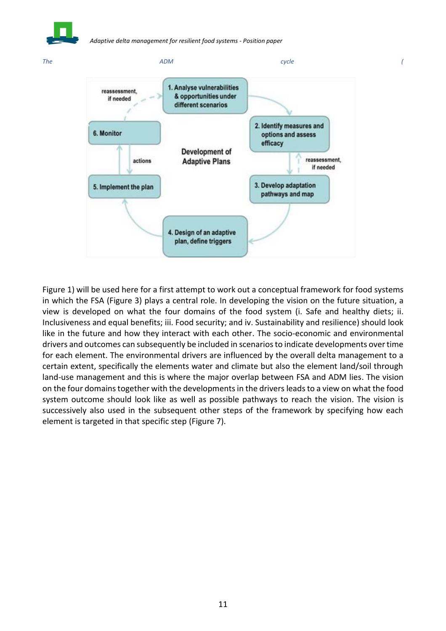



[Figure 1\)](#page-3-0) will be used here for a first attempt to work out a conceptual framework for food systems in which the FSA [\(Figure 3\)](#page-6-0) plays a central role. In developing the vision on the future situation, a view is developed on what the four domains of the food system (i. Safe and healthy diets; ii. Inclusiveness and equal benefits; iii. Food security; and iv. Sustainability and resilience) should look like in the future and how they interact with each other. The socio-economic and environmental drivers and outcomes can subsequently be included in scenarios to indicate developments over time for each element. The environmental drivers are influenced by the overall delta management to a certain extent, specifically the elements water and climate but also the element land/soil through land-use management and this is where the major overlap between FSA and ADM lies. The vision on the four domains together with the developments in the drivers leads to a view on what the food system outcome should look like as well as possible pathways to reach the vision. The vision is successively also used in the subsequent other steps of the framework by specifying how each element is targeted in that specific step [\(Figure 7\)](#page-11-2).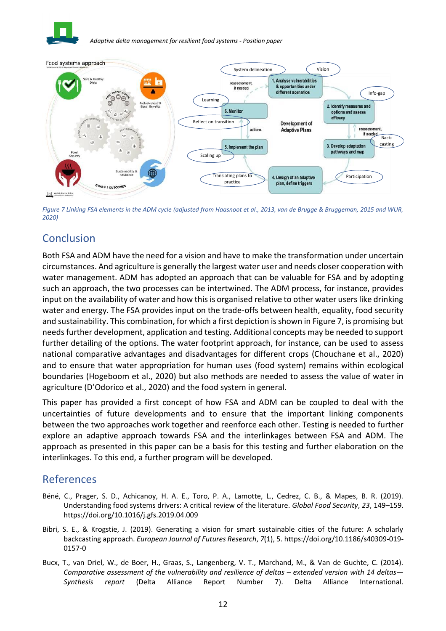



<span id="page-11-2"></span>*Figure 7 Linking FSA elements in the ADM cycle (adjusted from Haasnoot et al., 2013, van de Brugge & Bruggeman, 2015 and WUR, 2020)*

# <span id="page-11-0"></span>**Conclusion**

Both FSA and ADM have the need for a vision and have to make the transformation under uncertain circumstances. And agriculture is generally the largest water user and needs closer cooperation with water management. ADM has adopted an approach that can be valuable for FSA and by adopting such an approach, the two processes can be intertwined. The ADM process, for instance, provides input on the availability of water and how this is organised relative to other water users like drinking water and energy. The FSA provides input on the trade-offs between health, equality, food security and sustainability. This combination, for which a first depiction is shown in [Figure 7,](#page-11-2) is promising but needs further development, application and testing. Additional concepts may be needed to support further detailing of the options. The water footprint approach, for instance, can be used to assess national comparative advantages and disadvantages for different crops (Chouchane et al., 2020) and to ensure that water appropriation for human uses (food system) remains within ecological boundaries (Hogeboom et al., 2020) but also methods are needed to assess the value of water in agriculture (D'Odorico et al., 2020) and the food system in general.

This paper has provided a first concept of how FSA and ADM can be coupled to deal with the uncertainties of future developments and to ensure that the important linking components between the two approaches work together and reenforce each other. Testing is needed to further explore an adaptive approach towards FSA and the interlinkages between FSA and ADM. The approach as presented in this paper can be a basis for this testing and further elaboration on the interlinkages. To this end, a further program will be developed.

# <span id="page-11-1"></span>References

- Béné, C., Prager, S. D., Achicanoy, H. A. E., Toro, P. A., Lamotte, L., Cedrez, C. B., & Mapes, B. R. (2019). Understanding food systems drivers: A critical review of the literature. *Global Food Security*, *23*, 149–159. https://doi.org/10.1016/j.gfs.2019.04.009
- Bibri, S. E., & Krogstie, J. (2019). Generating a vision for smart sustainable cities of the future: A scholarly backcasting approach. *European Journal of Futures Research*, *7*(1), 5. https://doi.org/10.1186/s40309-019- 0157-0
- Bucx, T., van Driel, W., de Boer, H., Graas, S., Langenberg, V. T., Marchand, M., & Van de Guchte, C. (2014). *Comparative assessment of the vulnerability and resilience of deltas – extended version with 14 deltas– Synthesis report* (Delta Alliance Report Number 7). Delta Alliance International.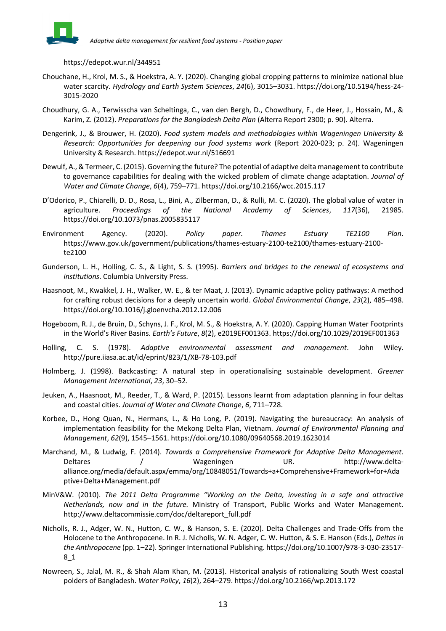

https://edepot.wur.nl/344951

- Chouchane, H., Krol, M. S., & Hoekstra, A. Y. (2020). Changing global cropping patterns to minimize national blue water scarcity. *Hydrology and Earth System Sciences*, *24*(6), 3015–3031. https://doi.org/10.5194/hess-24- 3015-2020
- Choudhury, G. A., Terwisscha van Scheltinga, C., van den Bergh, D., Chowdhury, F., de Heer, J., Hossain, M., & Karim, Z. (2012). *Preparations for the Bangladesh Delta Plan* (Alterra Report 2300; p. 90). Alterra.
- Dengerink, J., & Brouwer, H. (2020). *Food system models and methodologies within Wageningen University & Research: Opportunities for deepening our food systems work* (Report 2020-023; p. 24). Wageningen University & Research. https://edepot.wur.nl/516691
- Dewulf, A., & Termeer, C. (2015). Governing the future? The potential of adaptive delta management to contribute to governance capabilities for dealing with the wicked problem of climate change adaptation. *Journal of Water and Climate Change*, *6*(4), 759–771. https://doi.org/10.2166/wcc.2015.117
- D'Odorico, P., Chiarelli, D. D., Rosa, L., Bini, A., Zilberman, D., & Rulli, M. C. (2020). The global value of water in agriculture. *Proceedings of the National Academy of Sciences*, *117*(36), 21985. https://doi.org/10.1073/pnas.2005835117
- Environment Agency. (2020). *Policy paper. Thames Estuary TE2100 Plan*. https://www.gov.uk/government/publications/thames-estuary-2100-te2100/thames-estuary-2100 te2100
- Gunderson, L. H., Holling, C. S., & Light, S. S. (1995). *Barriers and bridges to the renewal of ecosystems and institutions*. Columbia University Press.
- Haasnoot, M., Kwakkel, J. H., Walker, W. E., & ter Maat, J. (2013). Dynamic adaptive policy pathways: A method for crafting robust decisions for a deeply uncertain world. *Global Environmental Change*, *23*(2), 485–498. https://doi.org/10.1016/j.gloenvcha.2012.12.006
- Hogeboom, R. J., de Bruin, D., Schyns, J. F., Krol, M. S., & Hoekstra, A. Y. (2020). Capping Human Water Footprints in the World's River Basins. *Earth's Future*, *8*(2), e2019EF001363. https://doi.org/10.1029/2019EF001363
- Holling, C. S. (1978). *Adaptive environmental assessment and management*. John Wiley. http://pure.iiasa.ac.at/id/eprint/823/1/XB-78-103.pdf
- Holmberg, J. (1998). Backcasting: A natural step in operationalising sustainable development. *Greener Management International*, *23*, 30–52.
- Jeuken, A., Haasnoot, M., Reeder, T., & Ward, P. (2015). Lessons learnt from adaptation planning in four deltas and coastal cities. *Journal of Water and Climate Change*, *6*, 711–728.
- Korbee, D., Hong Quan, N., Hermans, L., & Ho Long, P. (2019). Navigating the bureaucracy: An analysis of implementation feasibility for the Mekong Delta Plan, Vietnam. *Journal of Environmental Planning and Management*, *62*(9), 1545–1561. https://doi.org/10.1080/09640568.2019.1623014
- Marchand, M., & Ludwig, F. (2014). *Towards a Comprehensive Framework for Adaptive Delta Management*. Deltares / Wageningen UR. http://www.deltaalliance.org/media/default.aspx/emma/org/10848051/Towards+a+Comprehensive+Framework+for+Ada ptive+Delta+Management.pdf
- MinV&W. (2010). *The 2011 Delta Programme "Working on the Delta, investing in a safe and attractive Netherlands, now and in the future.* Ministry of Transport, Public Works and Water Management. http://www.deltacommissie.com/doc/deltareport\_full.pdf
- Nicholls, R. J., Adger, W. N., Hutton, C. W., & Hanson, S. E. (2020). Delta Challenges and Trade-Offs from the Holocene to the Anthropocene. In R. J. Nicholls, W. N. Adger, C. W. Hutton, & S. E. Hanson (Eds.), *Deltas in the Anthropocene* (pp. 1–22). Springer International Publishing. https://doi.org/10.1007/978-3-030-23517- 8\_1
- Nowreen, S., Jalal, M. R., & Shah Alam Khan, M. (2013). Historical analysis of rationalizing South West coastal polders of Bangladesh. *Water Policy*, *16*(2), 264–279. https://doi.org/10.2166/wp.2013.172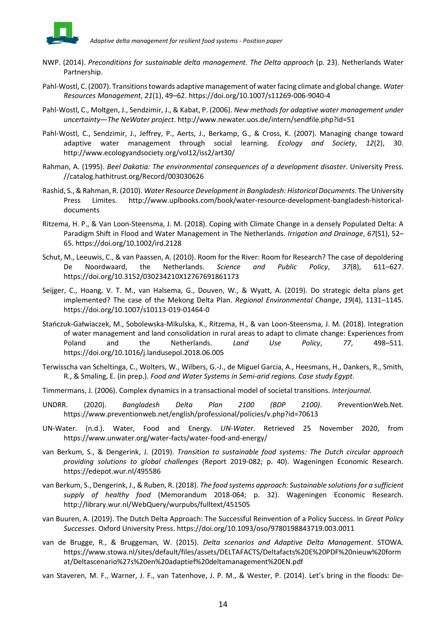

- NWP. (2014). *Preconditions for sustainable delta management. The Delta approach* (p. 23). Netherlands Water Partnership.
- Pahl-Wostl, C. (2007). Transitions towards adaptive management of water facing climate and global change. *Water Resources Management*, *21*(1), 49–62. https://doi.org/10.1007/s11269-006-9040-4
- Pahl-Wostl, C., Moltgen, J., Sendzimir, J., & Kabat, P. (2006). *New methods for adaptive water management under uncertainty—The NeWater project*. http://www.newater.uos.de/intern/sendfile.php?id=51
- Pahl-Wostl, C., Sendzimir, J., Jeffrey, P., Aerts, J., Berkamp, G., & Cross, K. (2007). Managing change toward adaptive water management through social learning. *Ecology and Society*, *12*(2), 30. http://www.ecologyandsociety.org/vol12/iss2/art30/
- Rahman, A. (1995). *Beel Dakatia: The environmental consequences of a development disaster*. University Press. //catalog.hathitrust.org/Record/003030626
- Rashid, S., & Rahman, R. (2010). *Water Resource Development in Bangladesh: Historical Documents*. The University Press Limites. http://www.uplbooks.com/book/water-resource-development-bangladesh-historicaldocuments
- Ritzema, H. P., & Van Loon-Steensma, J. M. (2018). Coping with Climate Change in a densely Populated Delta: A Paradigm Shift in Flood and Water Management in The Netherlands. *Irrigation and Drainage*, *67*(S1), 52– 65. https://doi.org/10.1002/ird.2128
- Schut, M., Leeuwis, C., & van Paassen, A. (2010). Room for the River: Room for Research? The case of depoldering De Noordwaard, the Netherlands. *Science and Public Policy*, *37*(8), 611–627. https://doi.org/10.3152/030234210X12767691861173
- Seijger, C., Hoang, V. T. M., van Halsema, G., Douven, W., & Wyatt, A. (2019). Do strategic delta plans get implemented? The case of the Mekong Delta Plan. *Regional Environmental Change*, *19*(4), 1131–1145. https://doi.org/10.1007/s10113-019-01464-0
- Stańczuk-Gałwiaczek, M., Sobolewska-Mikulska, K., Ritzema, H., & van Loon-Steensma, J. M. (2018). Integration of water management and land consolidation in rural areas to adapt to climate change: Experiences from Poland and the Netherlands. *Land Use Policy*, *77*, 498–511. https://doi.org/10.1016/j.landusepol.2018.06.005
- Terwisscha van Scheltinga, C., Wolters, W., Wilbers, G.-J., de Miguel Garcia, A., Heesmans, H., Dankers, R., Smith, R., & Smaling, E. (in prep.). *Food and Water Systems in Semi-arid regions. Case study Egypt*.
- Timmermans, J. (2006). Complex dynamics in a transactional model of societal transitions. *Interjournal*.
- UNDRR. (2020). *Bangladesh Delta Plan 2100 (BDP 2100)*. PreventionWeb.Net. https://www.preventionweb.net/english/professional/policies/v.php?id=70613
- UN-Water. (n.d.). Water, Food and Energy. *UN-Water*. Retrieved 25 November 2020, from https://www.unwater.org/water-facts/water-food-and-energy/
- van Berkum, S., & Dengerink, J. (2019). *Transition to sustainable food systems: The Dutch circular approach providing solutions to global challenges* (Report 2019-082; p. 40). Wageningen Economic Research. https://edepot.wur.nl/495586
- van Berkum, S., Dengerink, J., & Ruben, R. (2018). *The food systems approach: Sustainable solutions for a sufficient supply of healthy food* (Memorandum 2018-064; p. 32). Wageningen Economic Research. http://library.wur.nl/WebQuery/wurpubs/fulltext/451505
- van Buuren, A. (2019). The Dutch Delta Approach: The Successful Reinvention of a Policy Success. In *Great Policy Successes*. Oxford University Press. https://doi.org/10.1093/oso/9780198843719.003.0011
- van de Brugge, R., & Bruggeman, W. (2015). *Delta scenarios and Adaptive Delta Management*. STOWA. https://www.stowa.nl/sites/default/files/assets/DELTAFACTS/Deltafacts%20E%20PDF%20nieuw%20form at/Deltascenario%27s%20en%20adaptief%20deltamanagement%20EN.pdf
- van Staveren, M. F., Warner, J. F., van Tatenhove, J. P. M., & Wester, P. (2014). Let's bring in the floods: De-